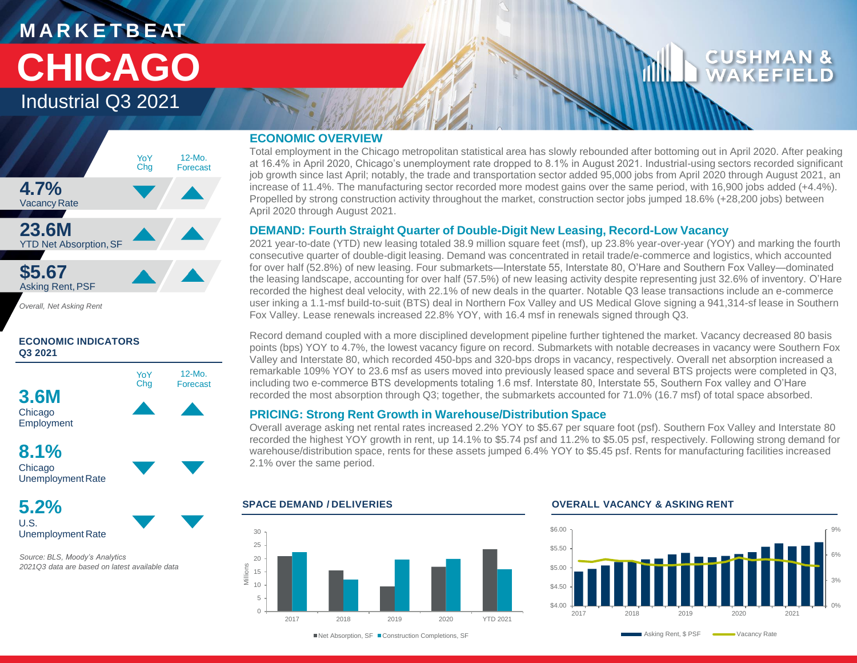# **M A R K E T B E AT CHICAGO**

## Industrial Q3 2021



*Overall, Net Asking Rent*

#### **ECONOMIC INDICATORS Q3 2021**



#### **8.1%** Chicago

Unemployment Rate

**5.2%** U.S. Unemployment Rate

*Source: BLS, Moody's Analytics 2021Q3 data are based on latest available data* 

#### **ECONOMIC OVERVIEW**

Total employment in the Chicago metropolitan statistical area has slowly rebounded after bottoming out in April 2020. After peaking at 16.4% in April 2020, Chicago's unemployment rate dropped to 8.1% in August 2021. Industrial-using sectors recorded significant job growth since last April; notably, the trade and transportation sector added 95,000 jobs from April 2020 through August 2021, an increase of 11.4%. The manufacturing sector recorded more modest gains over the same period, with 16,900 jobs added (+4.4%). Propelled by strong construction activity throughout the market, construction sector jobs jumped 18.6% (+28,200 jobs) between April 2020 through August 2021.

#### **DEMAND: Fourth Straight Quarter of Double-Digit New Leasing, Record-Low Vacancy**

2021 year-to-date (YTD) new leasing totaled 38.9 million square feet (msf), up 23.8% year-over-year (YOY) and marking the fourth consecutive quarter of double-digit leasing. Demand was concentrated in retail trade/e-commerce and logistics, which accounted for over half (52.8%) of new leasing. Four submarkets—Interstate 55, Interstate 80, O'Hare and Southern Fox Valley—dominated the leasing landscape, accounting for over half (57.5%) of new leasing activity despite representing just 32.6% of inventory. O'Hare recorded the highest deal velocity, with 22.1% of new deals in the quarter. Notable Q3 lease transactions include an e-commerce user inking a 1.1-msf build-to-suit (BTS) deal in Northern Fox Valley and US Medical Glove signing a 941,314-sf lease in Southern Fox Valley. Lease renewals increased 22.8% YOY, with 16.4 msf in renewals signed through Q3.

Record demand coupled with a more disciplined development pipeline further tightened the market. Vacancy decreased 80 basis points (bps) YOY to 4.7%, the lowest vacancy figure on record. Submarkets with notable decreases in vacancy were Southern Fox Valley and Interstate 80, which recorded 450-bps and 320-bps drops in vacancy, respectively. Overall net absorption increased a remarkable 109% YOY to 23.6 msf as users moved into previously leased space and several BTS projects were completed in Q3, including two e-commerce BTS developments totaling 1.6 msf. Interstate 80, Interstate 55, Southern Fox valley and O'Hare recorded the most absorption through Q3; together, the submarkets accounted for 71.0% (16.7 msf) of total space absorbed.

#### **PRICING: Strong Rent Growth in Warehouse/Distribution Space**

Overall average asking net rental rates increased 2.2% YOY to \$5.67 per square foot (psf). Southern Fox Valley and Interstate 80 recorded the highest YOY growth in rent, up 14.1% to \$5.74 psf and 11.2% to \$5.05 psf, respectively. Following strong demand for warehouse/distribution space, rents for these assets jumped 6.4% YOY to \$5.45 psf. Rents for manufacturing facilities increased 2.1% over the same period.



#### **SPACE DEMAND / DELIVERIES OVERALL VACANCY & ASKING RENT**



■Net Absorption, SF ■ Construction Completions, SF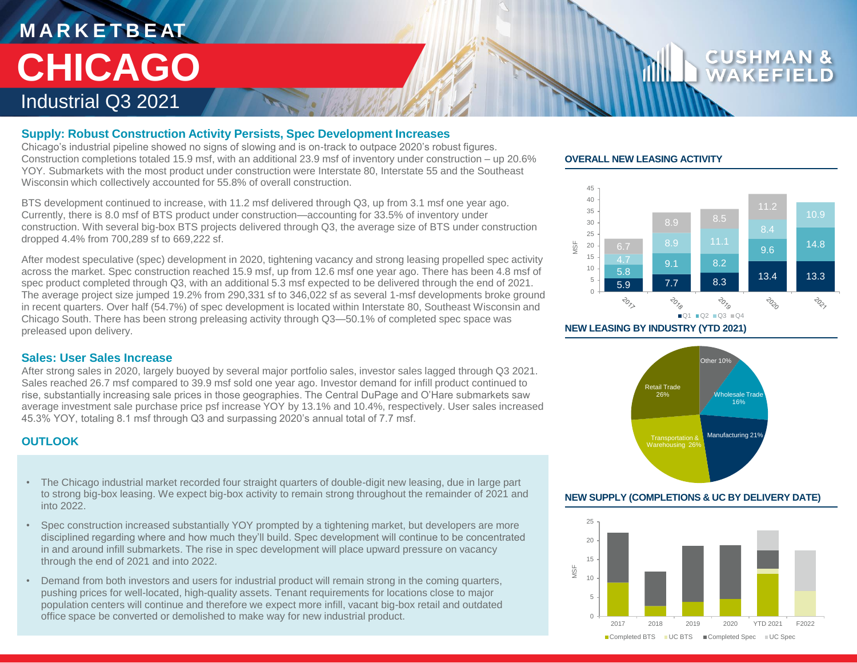## **M A R K E T B E AT** Industrial Q3 2021 **CHICAGO**

#### **Supply: Robust Construction Activity Persists, Spec Development Increases**

Chicago's industrial pipeline showed no signs of slowing and is on-track to outpace 2020's robust figures. Construction completions totaled 15.9 msf, with an additional 23.9 msf of inventory under construction – up 20.6% YOY. Submarkets with the most product under construction were Interstate 80, Interstate 55 and the Southeast Wisconsin which collectively accounted for 55.8% of overall construction.

BTS development continued to increase, with 11.2 msf delivered through Q3, up from 3.1 msf one year ago. Currently, there is 8.0 msf of BTS product under construction—accounting for 33.5% of inventory under construction. With several big-box BTS projects delivered through Q3, the average size of BTS under construction dropped 4.4% from 700,289 sf to 669,222 sf.

After modest speculative (spec) development in 2020, tightening vacancy and strong leasing propelled spec activity across the market. Spec construction reached 15.9 msf, up from 12.6 msf one year ago. There has been 4.8 msf of spec product completed through Q3, with an additional 5.3 msf expected to be delivered through the end of 2021. The average project size jumped 19.2% from 290,331 sf to 346,022 sf as several 1-msf developments broke ground in recent quarters. Over half (54.7%) of spec development is located within Interstate 80, Southeast Wisconsin and Chicago South. There has been strong preleasing activity through Q3—50.1% of completed spec space was preleased upon delivery.

#### **Sales: User Sales Increase**

After strong sales in 2020, largely buoyed by several major portfolio sales, investor sales lagged through Q3 2021. Sales reached 26.7 msf compared to 39.9 msf sold one year ago. Investor demand for infill product continued to rise, substantially increasing sale prices in those geographies. The Central DuPage and O'Hare submarkets saw average investment sale purchase price psf increase YOY by 13.1% and 10.4%, respectively. User sales increased 45.3% YOY, totaling 8.1 msf through Q3 and surpassing 2020's annual total of 7.7 msf.

#### **OUTLOOK**

- The Chicago industrial market recorded four straight quarters of double-digit new leasing, due in large part to strong big-box leasing. We expect big-box activity to remain strong throughout the remainder of 2021 and into 2022.
- Spec construction increased substantially YOY prompted by a tightening market, but developers are more disciplined regarding where and how much they'll build. Spec development will continue to be concentrated in and around infill submarkets. The rise in spec development will place upward pressure on vacancy through the end of 2021 and into 2022.
- Demand from both investors and users for industrial product will remain strong in the coming quarters, pushing prices for well-located, high-quality assets. Tenant requirements for locations close to major population centers will continue and therefore we expect more infill, vacant big-box retail and outdated office space be converted or demolished to make way for new industrial product.

#### **OVERALL NEW LEASING ACTIVITY**



**CUSHMA** 

**NEW LEASING BY INDUSTRY (YTD 2021)**



#### **NEW SUPPLY (COMPLETIONS & UC BY DELIVERY DATE)**

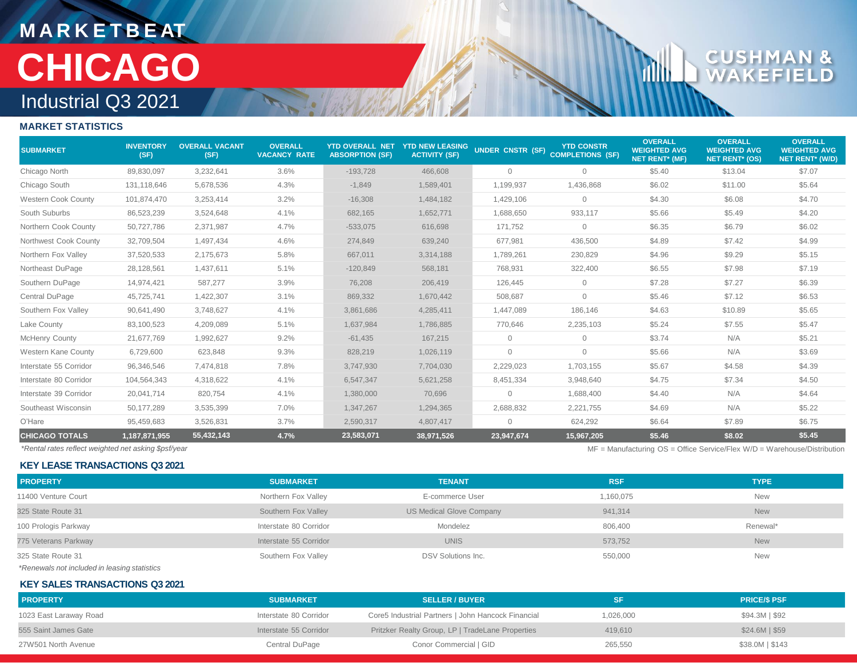## **M A R K E T B E AT** Industrial Q3 2021 **CHICAGO**

# $\mathbf{C} \mathbf{U}$

rillin

#### **MARKET STATISTICS**

| <b>SUBMARKET</b>           | <b>INVENTORY</b><br>(SF) | <b>OVERALL VACANT</b><br>(SF) | <b>OVERALL</b><br><b>VACANCY RATE</b> | <b>YTD OVERALL NET</b><br><b>ABSORPTION (SF)</b> | <b>YTD NEW LEASING</b><br><b>ACTIVITY (SF)</b> | <b>UNDER CNSTR (SF)</b> | <b>YTD CONSTR</b><br><b>COMPLETIONS (SF)</b> | <b>OVERALL</b><br><b>WEIGHTED AVG</b><br><b>NET RENT* (MF)</b> | <b>OVERALL</b><br><b>WEIGHTED AVG</b><br><b>NET RENT* (OS)</b> | <b>OVERALL</b><br><b>WEIGHTED AVG</b><br><b>NET RENT* (W/D)</b> |
|----------------------------|--------------------------|-------------------------------|---------------------------------------|--------------------------------------------------|------------------------------------------------|-------------------------|----------------------------------------------|----------------------------------------------------------------|----------------------------------------------------------------|-----------------------------------------------------------------|
| Chicago North              | 89,830,097               | 3,232,641                     | 3.6%                                  | $-193,728$                                       | 466,608                                        | $\mathbf{0}$            | $\mathbf{0}$                                 | \$5.40                                                         | \$13.04                                                        | \$7.07                                                          |
| Chicago South              | 131,118,646              | 5,678,536                     | 4.3%                                  | $-1,849$                                         | 1,589,401                                      | 1,199,937               | 1,436,868                                    | \$6.02                                                         | \$11.00                                                        | \$5.64                                                          |
| <b>Western Cook County</b> | 101,874,470              | 3,253,414                     | 3.2%                                  | $-16,308$                                        | 1,484,182                                      | 1,429,106               | $\overline{0}$                               | \$4.30                                                         | \$6.08                                                         | \$4.70                                                          |
| South Suburbs              | 86,523,239               | 3,524,648                     | 4.1%                                  | 682,165                                          | 1,652,771                                      | 1,688,650               | 933,117                                      | \$5.66                                                         | \$5.49                                                         | \$4.20                                                          |
| Northern Cook County       | 50,727,786               | 2,371,987                     | 4.7%                                  | $-533,075$                                       | 616,698                                        | 171,752                 | $\mathbf 0$                                  | \$6.35                                                         | \$6.79                                                         | \$6.02                                                          |
| Northwest Cook County      | 32,709,504               | 1,497,434                     | 4.6%                                  | 274,849                                          | 639,240                                        | 677,981                 | 436,500                                      | \$4.89                                                         | \$7.42                                                         | \$4.99                                                          |
| Northern Fox Valley        | 37,520,533               | 2,175,673                     | 5.8%                                  | 667,011                                          | 3,314,188                                      | 1,789,261               | 230,829                                      | \$4.96                                                         | \$9.29                                                         | \$5.15                                                          |
| Northeast DuPage           | 28,128,561               | 1,437,611                     | 5.1%                                  | $-120,849$                                       | 568,181                                        | 768,931                 | 322,400                                      | \$6.55                                                         | \$7.98                                                         | \$7.19                                                          |
| Southern DuPage            | 14,974,421               | 587,277                       | 3.9%                                  | 76,208                                           | 206,419                                        | 126,445                 | $\overline{0}$                               | \$7.28                                                         | \$7.27                                                         | \$6.39                                                          |
| Central DuPage             | 45,725,741               | 1,422,307                     | 3.1%                                  | 869,332                                          | 1,670,442                                      | 508,687                 | $\circ$                                      | \$5.46                                                         | \$7.12                                                         | \$6.53                                                          |
| Southern Fox Valley        | 90,641,490               | 3,748,627                     | 4.1%                                  | 3,861,686                                        | 4,285,411                                      | 1,447,089               | 186,146                                      | \$4.63                                                         | \$10.89                                                        | \$5.65                                                          |
| Lake County                | 83,100,523               | 4,209,089                     | 5.1%                                  | 1,637,984                                        | 1,786,885                                      | 770,646                 | 2,235,103                                    | \$5.24                                                         | \$7.55                                                         | \$5.47                                                          |
| <b>McHenry County</b>      | 21,677,769               | 1,992,627                     | 9.2%                                  | $-61,435$                                        | 167,215                                        | $\mathbf{0}$            | $\overline{0}$                               | \$3.74                                                         | N/A                                                            | \$5.21                                                          |
| Western Kane County        | 6,729,600                | 623,848                       | 9.3%                                  | 828,219                                          | 1,026,119                                      | $\overline{0}$          | $\circ$                                      | \$5.66                                                         | N/A                                                            | \$3.69                                                          |
| Interstate 55 Corridor     | 96,346,546               | 7,474,818                     | 7.8%                                  | 3,747,930                                        | 7,704,030                                      | 2,229,023               | 1,703,155                                    | \$5.67                                                         | \$4.58                                                         | \$4.39                                                          |
| Interstate 80 Corridor     | 104,564,343              | 4,318,622                     | 4.1%                                  | 6,547,347                                        | 5,621,258                                      | 8,451,334               | 3,948,640                                    | \$4.75                                                         | \$7.34                                                         | \$4.50                                                          |
| Interstate 39 Corridor     | 20.041.714               | 820,754                       | 4.1%                                  | 1,380,000                                        | 70,696                                         | $\Omega$                | 1,688,400                                    | \$4.40                                                         | N/A                                                            | \$4.64                                                          |
| Southeast Wisconsin        | 50,177,289               | 3,535,399                     | 7.0%                                  | 1,347,267                                        | 1,294,365                                      | 2,688,832               | 2,221,755                                    | \$4.69                                                         | N/A                                                            | \$5.22                                                          |
| O'Hare                     | 95,459,683               | 3,526,831                     | 3.7%                                  | 2,590,317                                        | 4,807,417                                      | $\bigcap$               | 624,292                                      | \$6.64                                                         | \$7.89                                                         | \$6.75                                                          |
| <b>CHICAGO TOTALS</b>      | 1,187,871,955            | 55,432,143                    | 4.7%                                  | 23,583,071                                       | 38,971,526                                     | 23,947,674              | 15,967,205                                   | \$5.46                                                         | \$8.02                                                         | \$5.45                                                          |

**KEY LEASE TRANSACTIONS Q3 2021**

*\*Rental rates reflect weighted net asking \$psf/year* MF = Manufacturing OS = Office Service/Flex W/D = Warehouse/Distribution

| <b>PROPERTY</b>                              | <b>SUBMARKET</b>       | <b>TENANT</b>            | <b>RSF</b> | <b>TYPE</b> |  |
|----------------------------------------------|------------------------|--------------------------|------------|-------------|--|
| 11400 Venture Court                          | Northern Fox Valley    | E-commerce User          | 1,160,075  | <b>New</b>  |  |
| 325 State Route 31                           | Southern Fox Valley    | US Medical Glove Company | 941,314    | <b>New</b>  |  |
| 100 Prologis Parkway                         | Interstate 80 Corridor | Mondelez                 | 806,400    | Renewal*    |  |
| 775 Veterans Parkway                         | Interstate 55 Corridor | <b>UNIS</b>              | 573,752    | <b>New</b>  |  |
| 325 State Route 31                           | Southern Fox Valley    | DSV Solutions Inc.       | 550,000    | New         |  |
| *Renewals not included in leasing statistics |                        |                          |            |             |  |

#### **KEY SALES TRANSACTIONS Q3 2021**

| <b>PROPERTY</b>        | <b>SUBMARKET</b>       | <b>SELLER / BUYER</b>                              | SF        | <b>PRICE/S PSF</b> |
|------------------------|------------------------|----------------------------------------------------|-----------|--------------------|
| 1023 East Laraway Road | Interstate 80 Corridor | Core5 Industrial Partners   John Hancock Financial | 1,026,000 | \$94.3M   \$92     |
| 555 Saint James Gate   | Interstate 55 Corridor | Pritzker Realty Group, LP   TradeLane Properties   | 419.610   | $$24.6M$$   $$59$  |
| 27W501 North Avenue    | Central DuPage         | Conor Commercial   GID                             | 265,550   | \$38.0M   \$143    |